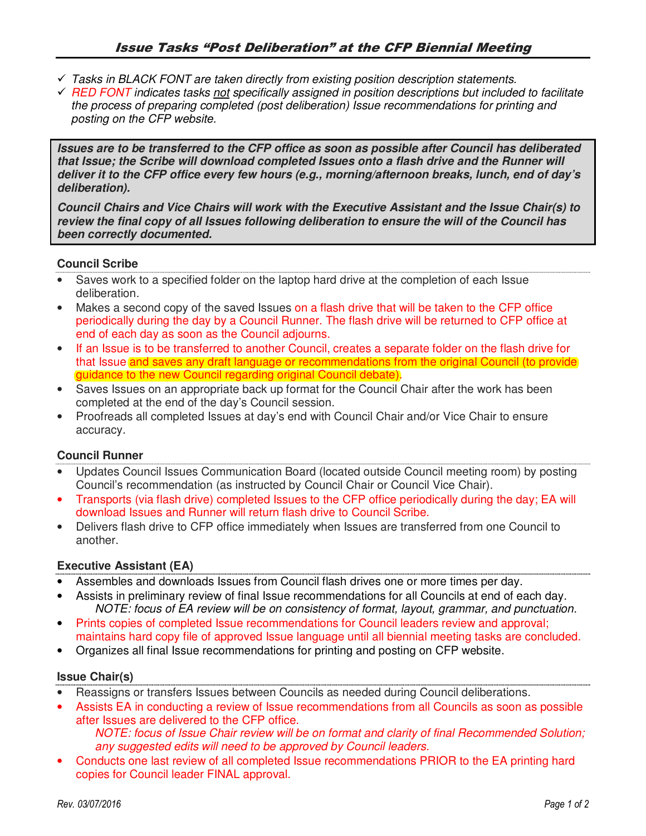- *Tasks in BLACK FONT are taken directly from existing position description statements.*
- *RED FONT indicates tasks not specifically assigned in position descriptions but included to facilitate the process of preparing completed (post deliberation) Issue recommendations for printing and posting on the CFP website.*

**Issues are to be transferred to the CFP office as soon as possible after Council has deliberated that Issue; the Scribe will download completed Issues onto a flash drive and the Runner will deliver it to the CFP office every few hours (e.g., morning/afternoon breaks, lunch, end of day's deliberation).** 

**Council Chairs and Vice Chairs will work with the Executive Assistant and the Issue Chair(s) to review the final copy of all Issues following deliberation to ensure the will of the Council has been correctly documented.** 

## **Council Scribe**

- Saves work to a specified folder on the laptop hard drive at the completion of each Issue deliberation.
- Makes a second copy of the saved Issues on a flash drive that will be taken to the CFP office periodically during the day by a Council Runner. The flash drive will be returned to CFP office at end of each day as soon as the Council adjourns.
- If an Issue is to be transferred to another Council, creates a separate folder on the flash drive for that Issue and saves any draft language or recommendations from the original Council (to provide) guidance to the new Council regarding original Council debate).
- Saves Issues on an appropriate back up format for the Council Chair after the work has been completed at the end of the day's Council session.
- Proofreads all completed Issues at day's end with Council Chair and/or Vice Chair to ensure accuracy.

# **Council Runner**

- Updates Council Issues Communication Board (located outside Council meeting room) by posting Council's recommendation (as instructed by Council Chair or Council Vice Chair).
- Transports (via flash drive) completed Issues to the CFP office periodically during the day; EA will download Issues and Runner will return flash drive to Council Scribe.
- Delivers flash drive to CFP office immediately when Issues are transferred from one Council to another.

#### **Executive Assistant (EA)**

- Assembles and downloads Issues from Council flash drives one or more times per day.
- Assists in preliminary review of final Issue recommendations for all Councils at end of each day. *NOTE: focus of EA review will be on consistency of format, layout, grammar, and punctuation.*
- Prints copies of completed Issue recommendations for Council leaders review and approval; maintains hard copy file of approved Issue language until all biennial meeting tasks are concluded.
- Organizes all final Issue recommendations for printing and posting on CFP website.

#### **Issue Chair(s)**

- Reassigns or transfers Issues between Councils as needed during Council deliberations.
- Assists EA in conducting a review of Issue recommendations from all Councils as soon as possible after Issues are delivered to the CFP office. *NOTE: focus of Issue Chair review will be on format and clarity of final Recommended Solution;*

*any suggested edits will need to be approved by Council leaders.* 

• Conducts one last review of all completed Issue recommendations PRIOR to the EA printing hard copies for Council leader FINAL approval.